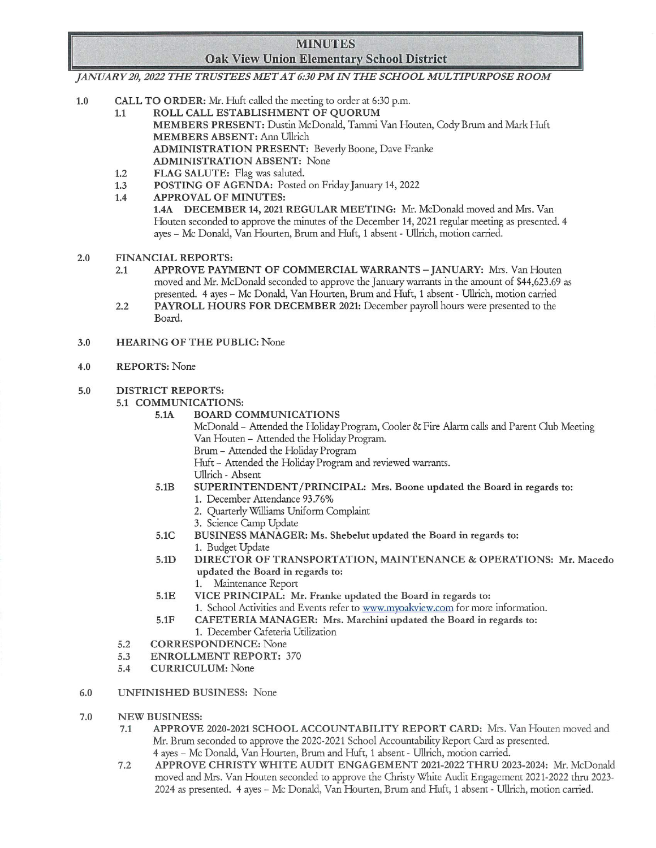## MINUTES **Oak View Union Elementary School District**

JANUARY 20, 2022 THE TRUSTEES MET AT 6:30 PM IN THE SCHOOL MULTIPURPOSE ROOM

- CALL TO ORDER: Mr. Huft called the meeting to order at 6:30 p.m.  $1.0\,$ 
	- 1.1 ROLL CALL ESTABLISHMENT OF QUORUM MEMBERS PRESENT: Dustin McDonald, Tammi Van Houten, Cody Brum and Mark Huft MEMBERS ABSENT: Ann Ullrich ADMINISTRATION PRESENT: Beverly Boone, Dave Franke ADMINISTRATION ABSENT: None
	- 1.2 FLAG SALUTE: Flag was saluted.
	- 1.3 POSTING OF AGENDA: Posted on Friday January 14, 2022<br>1.4 APPROVAL OF MINUTES:
	- APPROVAL OF MINUTES:

1.4A DECEMBER 14, 2021 REGULAR MEETING: Mr. McDonald moved and Mrs. Van Houten seconded to approve the minutes of the December 14, 2021 regular meeting as presented. 4 ayes - Mc Donald, Van Hourten, Brum and Huft, 1 absent - Ullrich, motion carried.

- $2.0$ FINANCIAL REPORTS:
	- 2.1 APPROVE PAYMENT OF COMMERCIAL WARRANTS JANUARY: Mrs. Van Houten moved and Mr. McDonald seconded to approve the January warrants in the amount of \$44,623.69 as presented. 4 ayes - Mc Donald, Van Hourten, Brurn and Huft, 1 absent - {Jllrich, motion carried
	- 2.2 PAYROLL HOURS FOR DECEMBER 2021: December payroll hours were presented to the Board.
- 3.0 HEARING OF THE PUBLIC: None
- 4.0 REPORTS: None
- 5.0 DISTRICT REPORTS:
	- 5.1 COMMUNICATIONS:
		- 5.1A BOARD COMMUNICATIONS

McDonald - Attended the Holiday Program, Cooler & Fire Alarm calls and Parent Club Meeting Van Houten - Attended the Holiday Program.

Brum - Attended the Holiday Program

Huft - Attended the Holiday Program and reviewed warrants.

- {Jllrich Absent
- 5.1B SUPERINTENDENT/PRINCIPAL: Mts. Boone updated the Boatd in tegatds to:
	- 1. December Attendance 93.76%
	- 2. Quarterly Williams Uniform Complaint
	- 3. Science Camp Update
- 5.IC BUSINESS MANAGER: Ms. Shebelut updated the Boatd in tegatds to: 1. Budget Update
- 5.1D DIRECTOR OF TRANSPORTATION, MAINTENANCE & OPERATIONS: Mt. Macedo updated the Boatd in tegatds to:
	- 1. Maintenance Report
- 5.1E VICE PRINCIPAL: Mr. Franke updated the Boatd in tegatds to: 1. School Activities and Events refer to www.myoakview.com for more information.
- 5.1F CAFETERIA MANAGER: Mts. Matchini updated the Boatd in regatds to:
- 1. December Cafeteria Utilization
- 5.2 CORRESPONDENCE: None
- 5.3 ENROLLMENT REPORT: 370
- 5.4 CURRICULUM: None
- UNFINISHED BUSINESS: None 6.0
- 7.0 NEW BUSINESS:
	- 7.1 APPROVE 2020-2021 SCHOOL ACCOUNTABILITY REPORT CARD: Mrs. Van Houten moved and Mr. Brum seconded to approve the 2020-2021 School Accountability Report Card as presented. 4 ayes - Mc Donald, Van Hourten, Brum and Huft, 1 absent - Ullrich, motion carried.
	- 7.2 APPROVE CHRISTY WHITE AUDIT ENGAGEMENT 2021-2022 THRU 2023-2024: Mr. McDonald moved and Mrs. Van Houten seconded to approve the Christy White Audit Engagement 2021-2022 thru 2023-2024 as presented. 4 ayes - Mc Donald, Van Hourten, Brurn and Huft, 1 absent - {Jllrich, motion carried.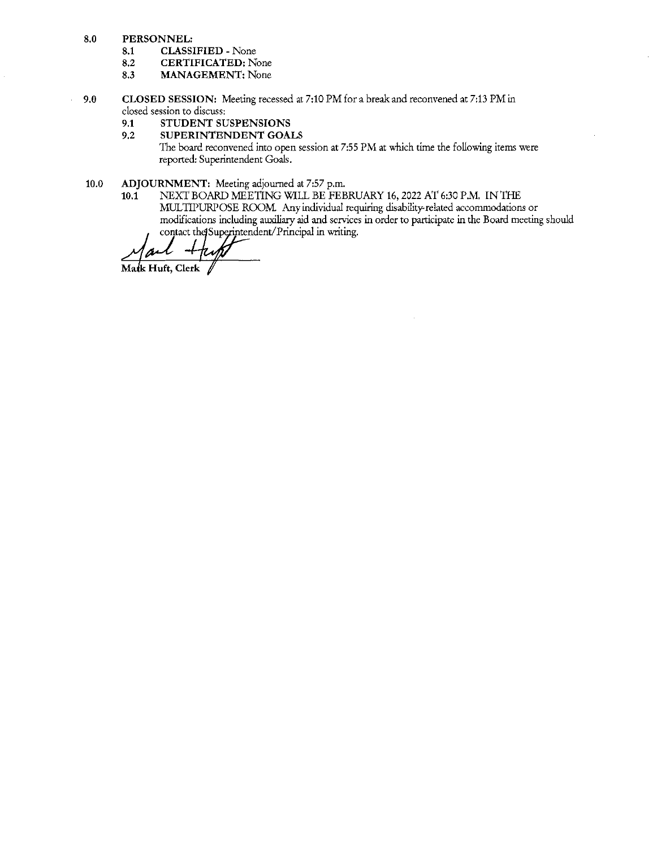- $8,0$ PERSONNEL:
	- 8.1 CLASSIFIED - None
	- 8.2 CERTIFICATED: None
	- 8.3 MANAGEMENT: None
- CLOSED SESSION: Meeting recessed at 7:10 PM for a break and reconvened at 7:13 PM in  $9.0$ closed session to discuss:
	- 9.1 STUDENT SUSPENSIONS
	- 9.2 SUPERINTENDENT GOALS

The board reconvened into open session at 7:55 PM at which time the following items were reported: Superintendent Goals.

- 10.0 ADJOURNMENT: Meeting adjourned at 7:57 p.m.<br>10.1 NEXT BOARD MEETING WILL BE FEB
	- NEXT BOARD MEETING WILL BE FEBRUARY 16, 2022 AT 6:30 P.M. IN THE MULTIPURPOSE ROOM. Any individual requiring disability-related accommodations or modifications including auxiliary aid and services in order to participate in the Board meeting should contact the Superintendent/Principal in writing.

Matk Huft, Clerk